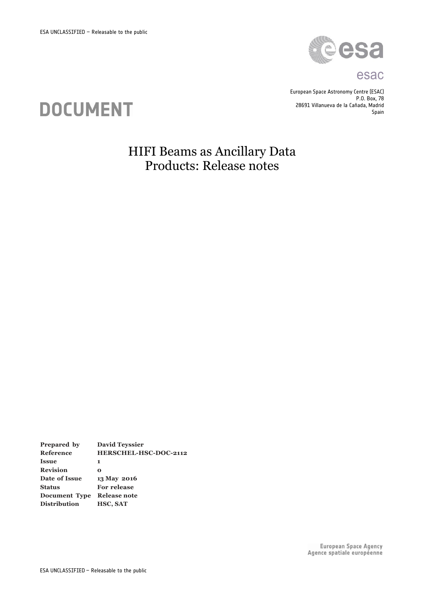

#### esac

European Space Astronomy Centre (ESAC) P.O. Box, 78 28691 Villanueva de la Cañada, Madrid Spain



## HIFI Beams as Ancillary Data Products: Release notes

**Prepared by David Teyssier Reference HERSCHEL-HSC-DOC-2112 Issue 1 Revision 0 Date of Issue 13 May 2016 Status For release Document Type Release note Distribution HSC, SAT**

> European Space Agency Agence spatiale européenne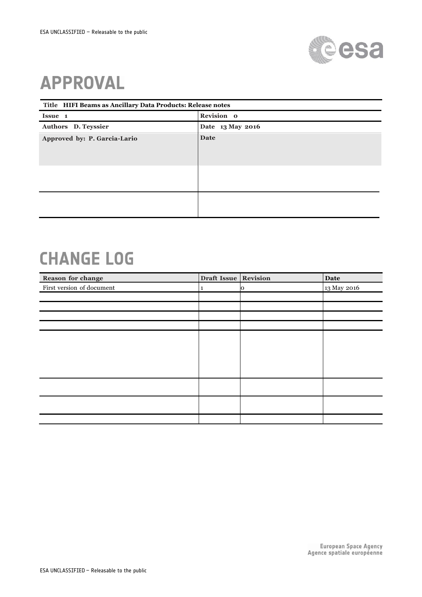

# **APPROVAL**

| Title HIFI Beams as Ancillary Data Products: Release notes |                  |  |  |
|------------------------------------------------------------|------------------|--|--|
| Issue 1                                                    | Revision o       |  |  |
| Authors D. Teyssier                                        | Date 13 May 2016 |  |  |
| Approved by: P. Garcia-Lario                               | Date             |  |  |
|                                                            |                  |  |  |

# **CHANGE LOG**

| Reason for change         | Draft Issue Revision |   | Date        |
|---------------------------|----------------------|---|-------------|
| First version of document | 1                    | Ю | 13 May 2016 |
|                           |                      |   |             |
|                           |                      |   |             |
|                           |                      |   |             |
|                           |                      |   |             |
|                           |                      |   |             |
|                           |                      |   |             |
|                           |                      |   |             |
|                           |                      |   |             |
|                           |                      |   |             |
|                           |                      |   |             |
|                           |                      |   |             |
|                           |                      |   |             |
|                           |                      |   |             |
|                           |                      |   |             |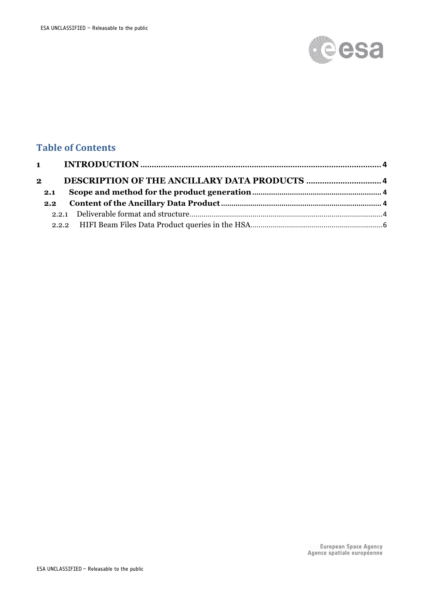

### **Table of Contents**

| $2^{\circ}$ |     |  |
|-------------|-----|--|
|             |     |  |
|             | 2.1 |  |
|             |     |  |
|             |     |  |
|             |     |  |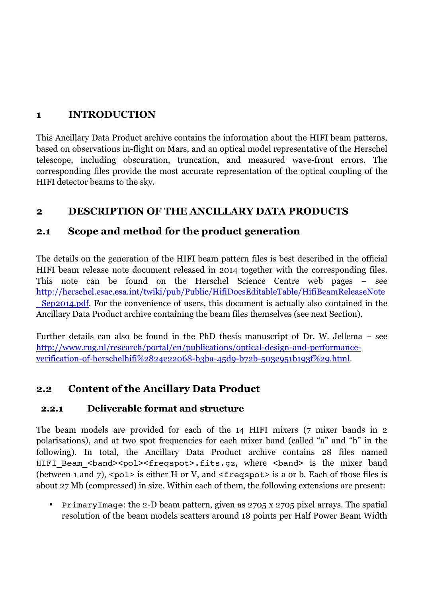#### **1 INTRODUCTION**

This Ancillary Data Product archive contains the information about the HIFI beam patterns, based on observations in-flight on Mars, and an optical model representative of the Herschel telescope, including obscuration, truncation, and measured wave-front errors. The corresponding files provide the most accurate representation of the optical coupling of the HIFI detector beams to the sky.

#### **2 DESCRIPTION OF THE ANCILLARY DATA PRODUCTS**

#### **2.1 Scope and method for the product generation**

The details on the generation of the HIFI beam pattern files is best described in the official HIFI beam release note document released in 2014 together with the corresponding files. This note can be found on the Herschel Science Centre web pages – see http://herschel.esac.esa.int/twiki/pub/Public/HifiDocsEditableTable/HifiBeamReleaseNote **Sep2014.pdf.** For the convenience of users, this document is actually also contained in the Ancillary Data Product archive containing the beam files themselves (see next Section).

Further details can also be found in the PhD thesis manuscript of Dr. W. Jellema – see http://www.rug.nl/research/portal/en/publications/optical-design-and-performanceverification-of-herschelhifi%2824e22068-b3ba-45d9-b72b-503e951b193f%29.html.

### **2.2 Content of the Ancillary Data Product**

#### **2.2.1 Deliverable format and structure**

The beam models are provided for each of the 14 HIFI mixers (7 mixer bands in 2 polarisations), and at two spot frequencies for each mixer band (called "a" and "b" in the following). In total, the Ancillary Data Product archive contains 28 files named HIFI Beam <br/>band><pol><freqspot>.fits.gz, where <br/>band> is the mixer band (between 1 and 7),  $\text{spol} >$  is either H or V, and  $\text{Steqspot} >$  is a or b. Each of those files is about 27 Mb (compressed) in size. Within each of them, the following extensions are present:

• PrimaryImage: the 2-D beam pattern, given as 2705 x 2705 pixel arrays. The spatial resolution of the beam models scatters around 18 points per Half Power Beam Width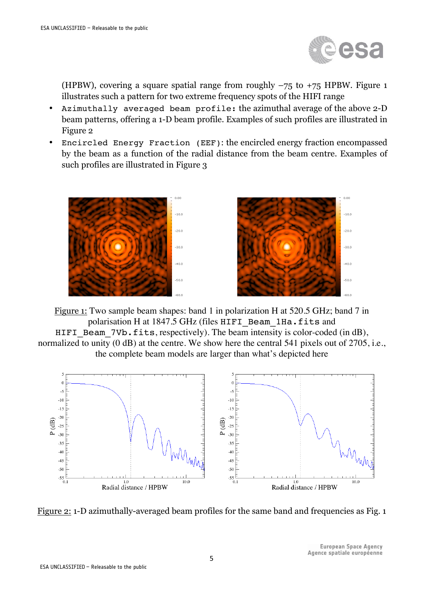

(HPBW), covering a square spatial range from roughly  $-75$  to  $+75$  HPBW. Figure 1 illustrates such a pattern for two extreme frequency spots of the HIFI range

- Azimuthally averaged beam profile: the azimuthal average of the above 2-D beam patterns, offering a 1-D beam profile. Examples of such profiles are illustrated in Figure 2
- Encircled Energy Fraction (EEF): the encircled energy fraction encompassed by the beam as a function of the radial distance from the beam centre. Examples of such profiles are illustrated in Figure 3



Figure 1: Two sample beam shapes: band 1 in polarization H at 520.5 GHz; band 7 in polarisation H at 1847.5 GHz (files HIFI\_Beam\_1Ha.fits and HIFI Beam 7Vb.fits, respectively). The beam intensity is color-coded (in dB), normalized to unity (0 dB) at the centre. We show here the central 541 pixels out of 2705, i.e., the complete beam models are larger than what's depicted here



Figure 2: 1-D azimuthally-averaged beam profiles for the same band and frequencies as Fig. 1

**European Space Agency** Agence spatiale européenne